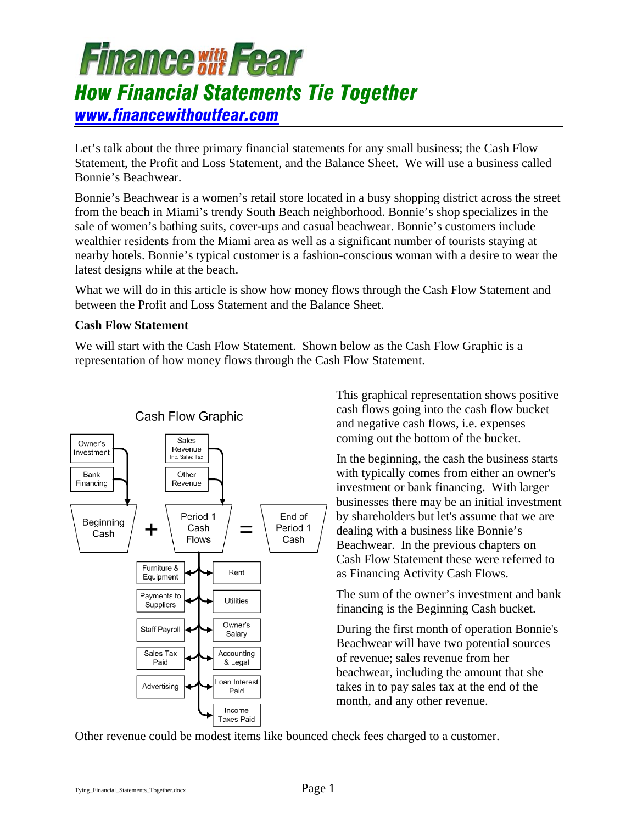Let's talk about the three primary financial statements for any small business; the Cash Flow Statement, the Profit and Loss Statement, and the Balance Sheet. We will use a business called Bonnie's Beachwear.

Bonnie's Beachwear is a women's retail store located in a busy shopping district across the street from the beach in Miami's trendy South Beach neighborhood. Bonnie's shop specializes in the sale of women's bathing suits, cover-ups and casual beachwear. Bonnie's customers include wealthier residents from the Miami area as well as a significant number of tourists staying at nearby hotels. Bonnie's typical customer is a fashion-conscious woman with a desire to wear the latest designs while at the beach.

What we will do in this article is show how money flows through the Cash Flow Statement and between the Profit and Loss Statement and the Balance Sheet.

### **Cash Flow Statement**

We will start with the Cash Flow Statement. Shown below as the Cash Flow Graphic is a representation of how money flows through the Cash Flow Statement.



This graphical representation shows positive cash flows going into the cash flow bucket and negative cash flows, i.e. expenses coming out the bottom of the bucket.

In the beginning, the cash the business starts with typically comes from either an owner's investment or bank financing. With larger businesses there may be an initial investment by shareholders but let's assume that we are dealing with a business like Bonnie's Beachwear. In the previous chapters on Cash Flow Statement these were referred to as Financing Activity Cash Flows.

The sum of the owner's investment and bank financing is the Beginning Cash bucket.

During the first month of operation Bonnie's Beachwear will have two potential sources of revenue; sales revenue from her beachwear, including the amount that she takes in to pay sales tax at the end of the month, and any other revenue.

Other revenue could be modest items like bounced check fees charged to a customer.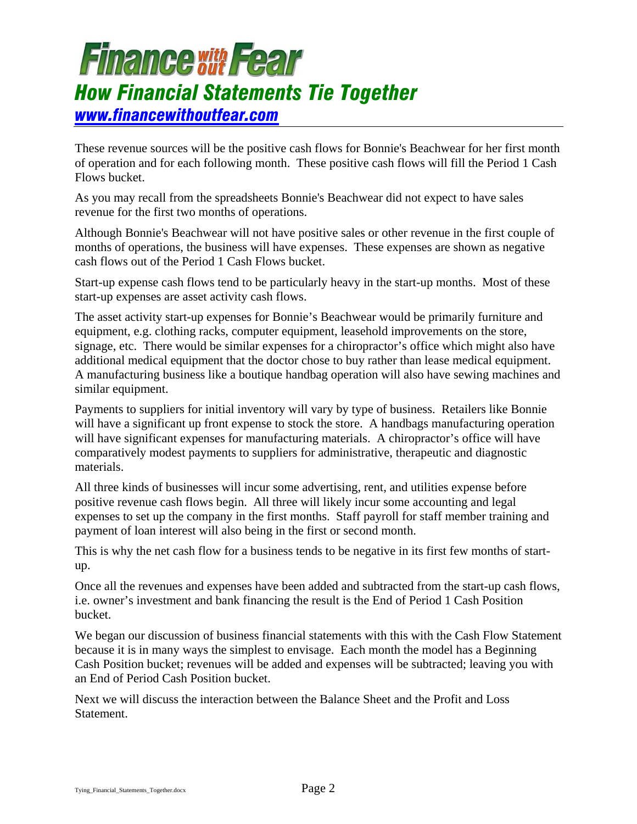These revenue sources will be the positive cash flows for Bonnie's Beachwear for her first month of operation and for each following month. These positive cash flows will fill the Period 1 Cash Flows bucket.

As you may recall from the spreadsheets Bonnie's Beachwear did not expect to have sales revenue for the first two months of operations.

Although Bonnie's Beachwear will not have positive sales or other revenue in the first couple of months of operations, the business will have expenses. These expenses are shown as negative cash flows out of the Period 1 Cash Flows bucket.

Start-up expense cash flows tend to be particularly heavy in the start-up months. Most of these start-up expenses are asset activity cash flows.

The asset activity start-up expenses for Bonnie's Beachwear would be primarily furniture and equipment, e.g. clothing racks, computer equipment, leasehold improvements on the store, signage, etc. There would be similar expenses for a chiropractor's office which might also have additional medical equipment that the doctor chose to buy rather than lease medical equipment. A manufacturing business like a boutique handbag operation will also have sewing machines and similar equipment.

Payments to suppliers for initial inventory will vary by type of business. Retailers like Bonnie will have a significant up front expense to stock the store. A handbags manufacturing operation will have significant expenses for manufacturing materials. A chiropractor's office will have comparatively modest payments to suppliers for administrative, therapeutic and diagnostic materials.

All three kinds of businesses will incur some advertising, rent, and utilities expense before positive revenue cash flows begin. All three will likely incur some accounting and legal expenses to set up the company in the first months. Staff payroll for staff member training and payment of loan interest will also being in the first or second month.

This is why the net cash flow for a business tends to be negative in its first few months of startup.

Once all the revenues and expenses have been added and subtracted from the start-up cash flows, i.e. owner's investment and bank financing the result is the End of Period 1 Cash Position bucket.

We began our discussion of business financial statements with this with the Cash Flow Statement because it is in many ways the simplest to envisage. Each month the model has a Beginning Cash Position bucket; revenues will be added and expenses will be subtracted; leaving you with an End of Period Cash Position bucket.

Next we will discuss the interaction between the Balance Sheet and the Profit and Loss Statement.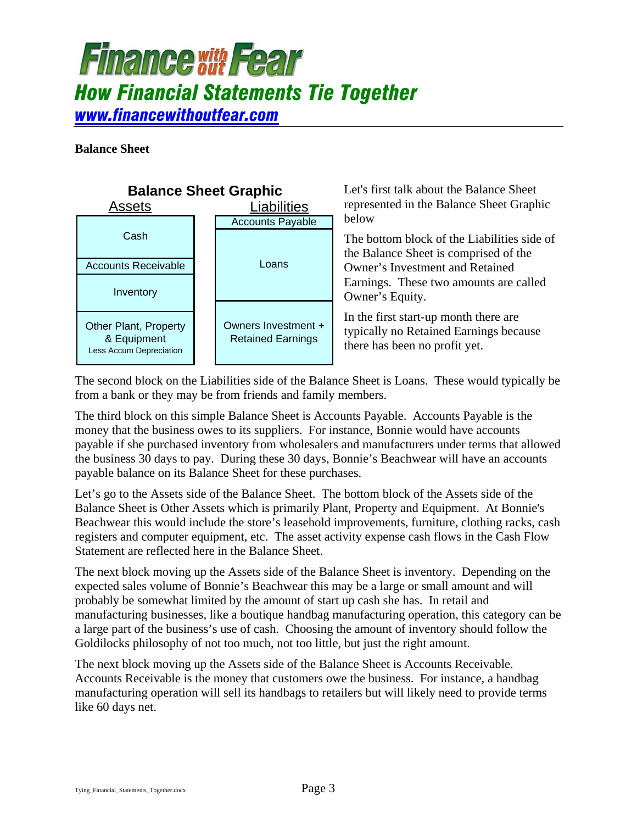**Balance Sheet** 



Let's first talk about the Balance Sheet represented in the Balance Sheet Graphic below

The bottom block of the Liabilities side of the Balance Sheet is comprised of the Owner's Investment and Retained Earnings. These two amounts are called Owner's Equity.

In the first start-up month there are typically no Retained Earnings because there has been no profit yet.

The second block on the Liabilities side of the Balance Sheet is Loans. These would typically be from a bank or they may be from friends and family members.

The third block on this simple Balance Sheet is Accounts Payable. Accounts Payable is the money that the business owes to its suppliers. For instance, Bonnie would have accounts payable if she purchased inventory from wholesalers and manufacturers under terms that allowed the business 30 days to pay. During these 30 days, Bonnie's Beachwear will have an accounts payable balance on its Balance Sheet for these purchases.

Let's go to the Assets side of the Balance Sheet. The bottom block of the Assets side of the Balance Sheet is Other Assets which is primarily Plant, Property and Equipment. At Bonnie's Beachwear this would include the store's leasehold improvements, furniture, clothing racks, cash registers and computer equipment, etc. The asset activity expense cash flows in the Cash Flow Statement are reflected here in the Balance Sheet.

The next block moving up the Assets side of the Balance Sheet is inventory. Depending on the expected sales volume of Bonnie's Beachwear this may be a large or small amount and will probably be somewhat limited by the amount of start up cash she has. In retail and manufacturing businesses, like a boutique handbag manufacturing operation, this category can be a large part of the business's use of cash. Choosing the amount of inventory should follow the Goldilocks philosophy of not too much, not too little, but just the right amount.

The next block moving up the Assets side of the Balance Sheet is Accounts Receivable. Accounts Receivable is the money that customers owe the business. For instance, a handbag manufacturing operation will sell its handbags to retailers but will likely need to provide terms like 60 days net.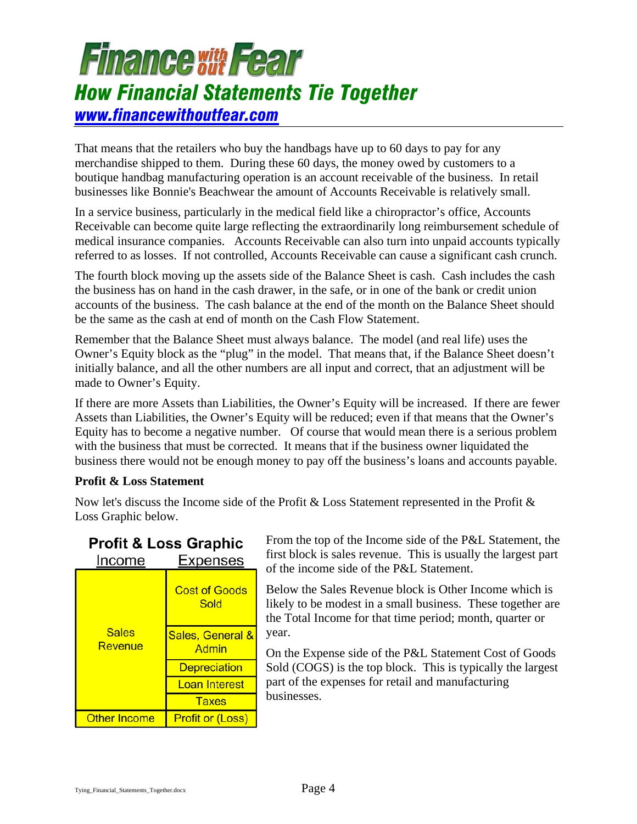That means that the retailers who buy the handbags have up to 60 days to pay for any merchandise shipped to them. During these 60 days, the money owed by customers to a boutique handbag manufacturing operation is an account receivable of the business. In retail businesses like Bonnie's Beachwear the amount of Accounts Receivable is relatively small.

In a service business, particularly in the medical field like a chiropractor's office, Accounts Receivable can become quite large reflecting the extraordinarily long reimbursement schedule of medical insurance companies. Accounts Receivable can also turn into unpaid accounts typically referred to as losses. If not controlled, Accounts Receivable can cause a significant cash crunch.

The fourth block moving up the assets side of the Balance Sheet is cash. Cash includes the cash the business has on hand in the cash drawer, in the safe, or in one of the bank or credit union accounts of the business. The cash balance at the end of the month on the Balance Sheet should be the same as the cash at end of month on the Cash Flow Statement.

Remember that the Balance Sheet must always balance. The model (and real life) uses the Owner's Equity block as the "plug" in the model. That means that, if the Balance Sheet doesn't initially balance, and all the other numbers are all input and correct, that an adjustment will be made to Owner's Equity.

If there are more Assets than Liabilities, the Owner's Equity will be increased. If there are fewer Assets than Liabilities, the Owner's Equity will be reduced; even if that means that the Owner's Equity has to become a negative number. Of course that would mean there is a serious problem with the business that must be corrected. It means that if the business owner liquidated the business there would not be enough money to pay off the business's loans and accounts payable.

### **Profit & Loss Statement**

Now let's discuss the Income side of the Profit & Loss Statement represented in the Profit & Loss Graphic below.

|        | <b>Profit &amp; Loss Graphic</b> |
|--------|----------------------------------|
| Income | <b>Expenses</b>                  |

| wunc                    | JEHJEJ                       |
|-------------------------|------------------------------|
| <b>Sales</b><br>Revenue | <b>Cost of Goods</b><br>Sold |
|                         | Sales, General &<br>Admin    |
|                         | <b>Depreciation</b>          |
|                         | Loan Interest                |
|                         | <b>Taxes</b>                 |
| <b>Other Income</b>     | <b>Profit or (Loss)</b>      |

From the top of the Income side of the P&L Statement, the first block is sales revenue. This is usually the largest part of the income side of the P&L Statement.

Below the Sales Revenue block is Other Income which is likely to be modest in a small business. These together are the Total Income for that time period; month, quarter or year.

On the Expense side of the P&L Statement Cost of Goods Sold (COGS) is the top block. This is typically the largest part of the expenses for retail and manufacturing businesses.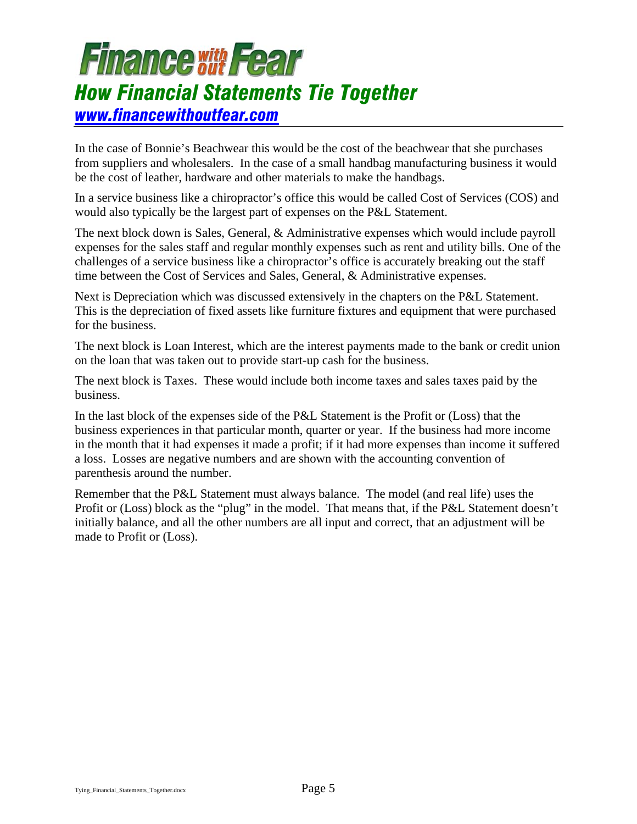In the case of Bonnie's Beachwear this would be the cost of the beachwear that she purchases from suppliers and wholesalers. In the case of a small handbag manufacturing business it would be the cost of leather, hardware and other materials to make the handbags.

In a service business like a chiropractor's office this would be called Cost of Services (COS) and would also typically be the largest part of expenses on the P&L Statement.

The next block down is Sales, General, & Administrative expenses which would include payroll expenses for the sales staff and regular monthly expenses such as rent and utility bills. One of the challenges of a service business like a chiropractor's office is accurately breaking out the staff time between the Cost of Services and Sales, General, & Administrative expenses.

Next is Depreciation which was discussed extensively in the chapters on the P&L Statement. This is the depreciation of fixed assets like furniture fixtures and equipment that were purchased for the business.

The next block is Loan Interest, which are the interest payments made to the bank or credit union on the loan that was taken out to provide start-up cash for the business.

The next block is Taxes. These would include both income taxes and sales taxes paid by the business.

In the last block of the expenses side of the P&L Statement is the Profit or (Loss) that the business experiences in that particular month, quarter or year. If the business had more income in the month that it had expenses it made a profit; if it had more expenses than income it suffered a loss. Losses are negative numbers and are shown with the accounting convention of parenthesis around the number.

Remember that the P&L Statement must always balance. The model (and real life) uses the Profit or (Loss) block as the "plug" in the model. That means that, if the P&L Statement doesn't initially balance, and all the other numbers are all input and correct, that an adjustment will be made to Profit or (Loss).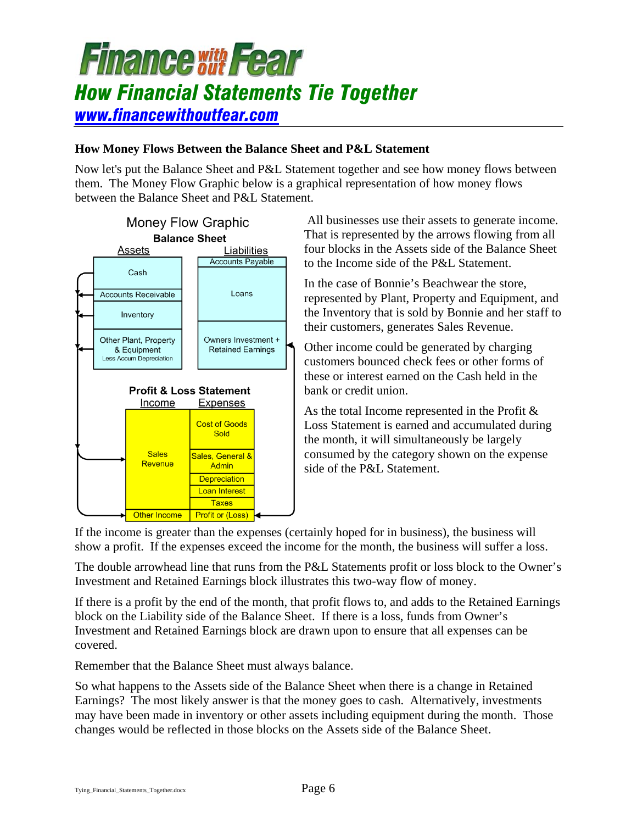

#### **How Money Flows Between the Balance Sheet and P&L Statement**

Now let's put the Balance Sheet and P&L Statement together and see how money flows between them. The Money Flow Graphic below is a graphical representation of how money flows between the Balance Sheet and P&L Statement.



 All businesses use their assets to generate income. That is represented by the arrows flowing from all four blocks in the Assets side of the Balance Sheet to the Income side of the P&L Statement.

In the case of Bonnie's Beachwear the store, represented by Plant, Property and Equipment, and the Inventory that is sold by Bonnie and her staff to their customers, generates Sales Revenue.

Other income could be generated by charging customers bounced check fees or other forms of these or interest earned on the Cash held in the bank or credit union.

As the total Income represented in the Profit & Loss Statement is earned and accumulated during the month, it will simultaneously be largely consumed by the category shown on the expense side of the P&L Statement.

If the income is greater than the expenses (certainly hoped for in business), the business will show a profit. If the expenses exceed the income for the month, the business will suffer a loss.

The double arrowhead line that runs from the P&L Statements profit or loss block to the Owner's Investment and Retained Earnings block illustrates this two-way flow of money.

If there is a profit by the end of the month, that profit flows to, and adds to the Retained Earnings block on the Liability side of the Balance Sheet. If there is a loss, funds from Owner's Investment and Retained Earnings block are drawn upon to ensure that all expenses can be covered.

Remember that the Balance Sheet must always balance.

So what happens to the Assets side of the Balance Sheet when there is a change in Retained Earnings? The most likely answer is that the money goes to cash. Alternatively, investments may have been made in inventory or other assets including equipment during the month. Those changes would be reflected in those blocks on the Assets side of the Balance Sheet.

Tying\_Financial\_Statements\_Together.docx Page 6